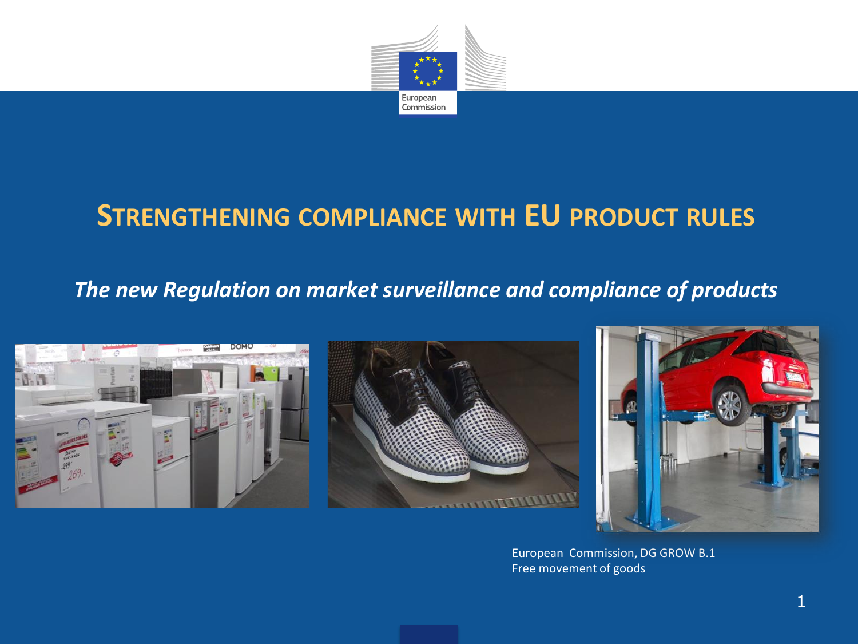

# **STRENGTHENING COMPLIANCE WITH EU PRODUCT RULES**

#### *The new Regulation on market surveillance and compliance of products*







European Commission, DG GROW B.1 Free movement of goods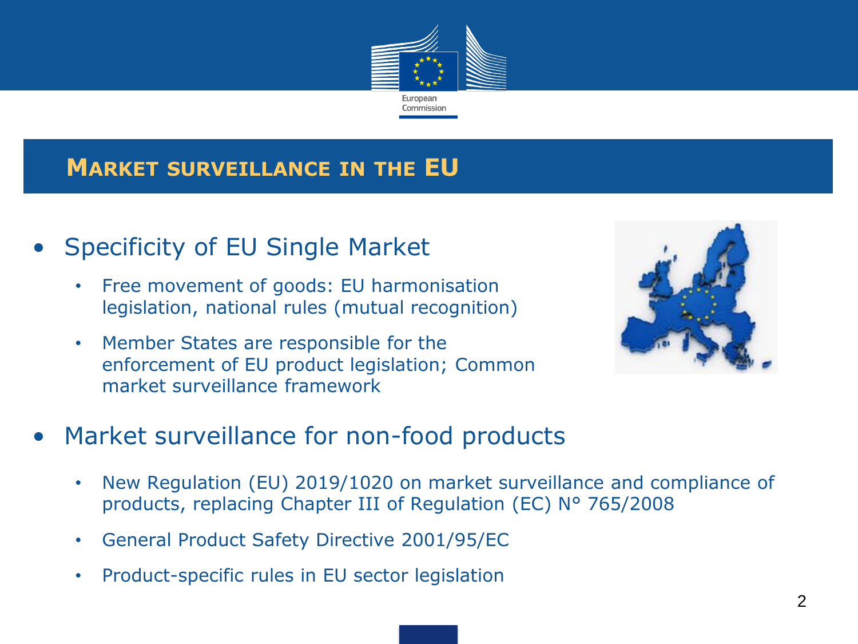

### **MARKET SURVEILLANCE IN THE EU**

## • Specificity of EU Single Market

- Free movement of goods: EU harmonisation legislation, national rules (mutual recognition)
- Member States are responsible for the enforcement of EU product legislation; Common market surveillance framework



## Market surveillance for non-food products

- New Regulation (EU) 2019/1020 on market surveillance and compliance of products, replacing Chapter III of Regulation (EC) N° 765/2008
- General Product Safety Directive 2001/95/EC
- Product-specific rules in EU sector legislation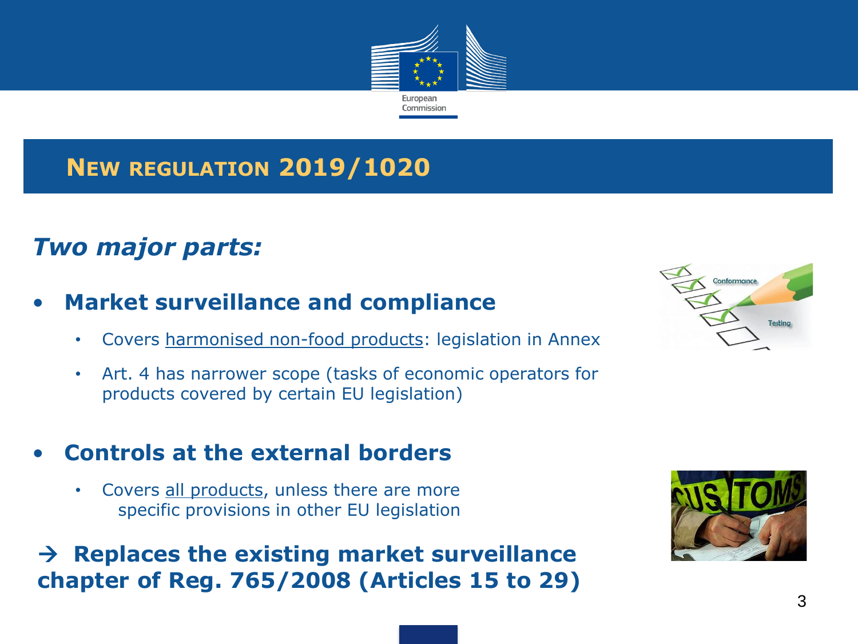

## **NEW REGULATION 2019/1020**

## *Two major parts:*

#### • **Market surveillance and compliance**

- Covers harmonised non-food products: legislation in Annex
- Art. 4 has narrower scope (tasks of economic operators for products covered by certain EU legislation)

#### • **Controls at the external borders**

• Covers all products, unless there are more specific provisions in other EU legislation

#### → **Replaces the existing market surveillance chapter of Reg. 765/2008 (Articles 15 to 29)**



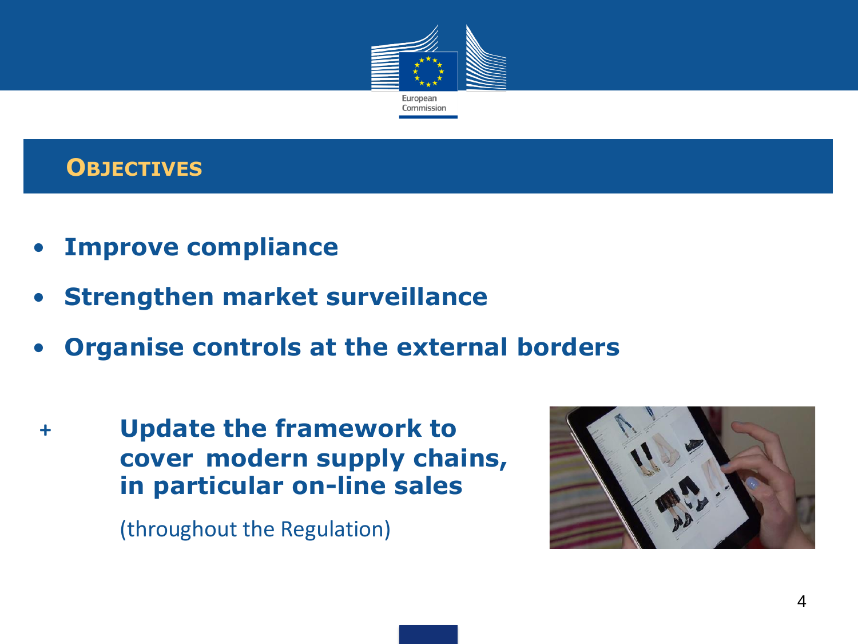

### **OBJECTIVES**

- **Improve compliance**
- **Strengthen market surveillance**
- **Organise controls at the external borders**
- **+ Update the framework to cover modern supply chains, in particular on-line sales**

(throughout the Regulation)

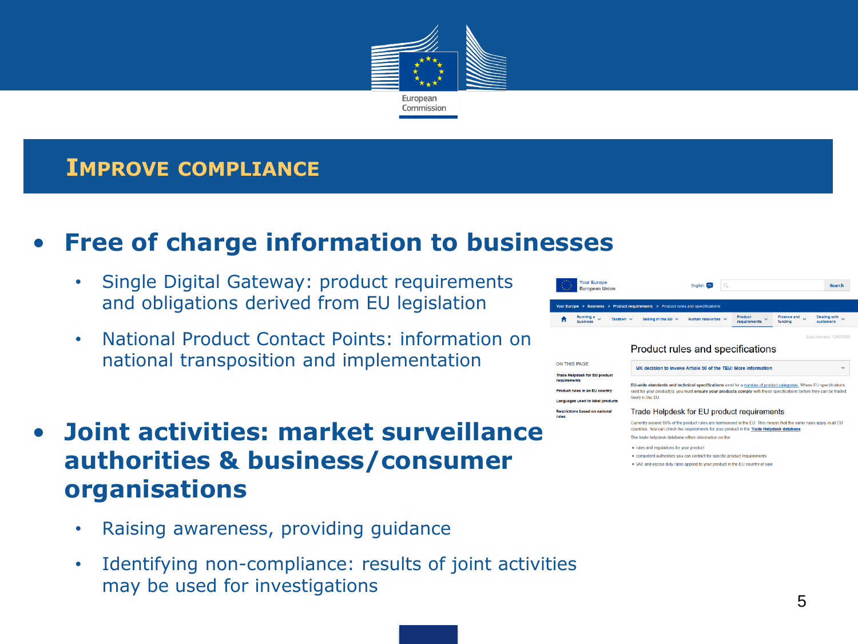

#### **IMPROVE COMPLIANCE**

### • **Free of charge information to businesses**

- Single Digital Gateway: product requirements and obligations derived from EU legislation
- National Product Contact Points: information on national transposition and implementation
- **Joint activities: market surveillance authorities & business/consumer organisations**
	- Raising awareness, providing guidance
	- Identifying non-compliance: results of joint activities may be used for investigations

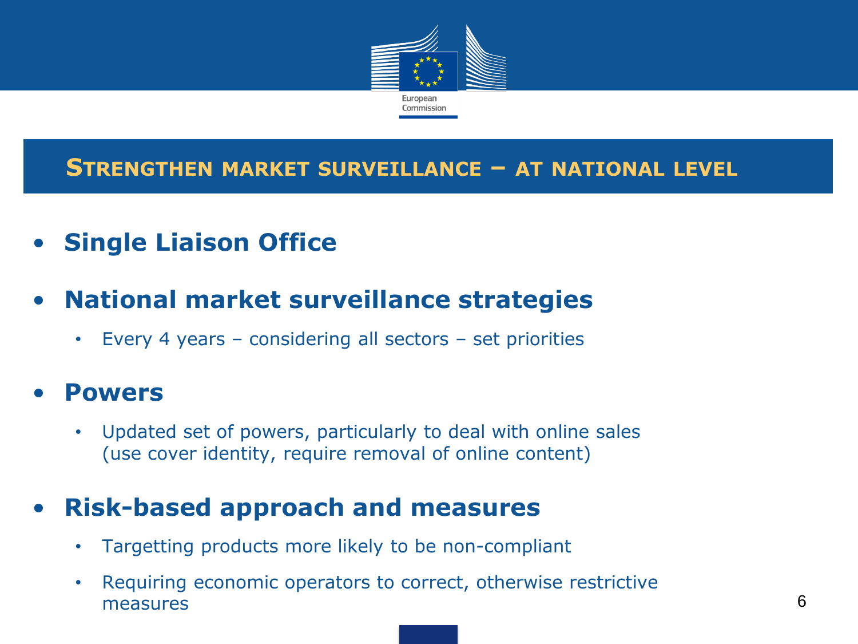

#### **STRENGTHEN MARKET SURVEILLANCE – AT NATIONAL LEVEL**

- **Single Liaison Office**
- **National market surveillance strategies**
	- Every 4 years considering all sectors set priorities

### • **Powers**

• Updated set of powers, particularly to deal with online sales (use cover identity, require removal of online content)

## • **Risk-based approach and measures**

- Targetting products more likely to be non-compliant
- Requiring economic operators to correct, otherwise restrictive measures 6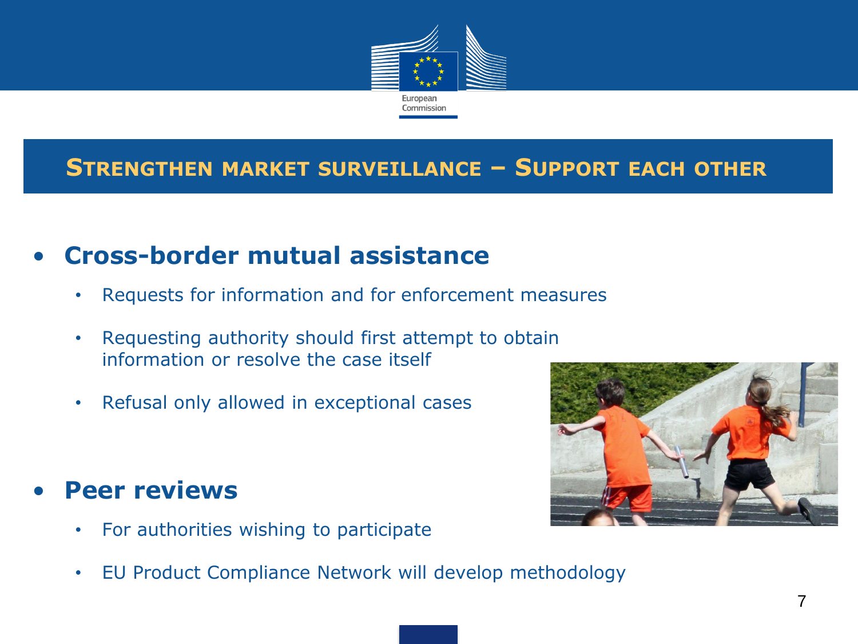

### **STRENGTHEN MARKET SURVEILLANCE – SUPPORT EACH OTHER**

## • **Cross-border mutual assistance**

- Requests for information and for enforcement measures
- Requesting authority should first attempt to obtain information or resolve the case itself
- Refusal only allowed in exceptional cases

## • **Peer reviews**

- For authorities wishing to participate
- EU Product Compliance Network will develop methodology

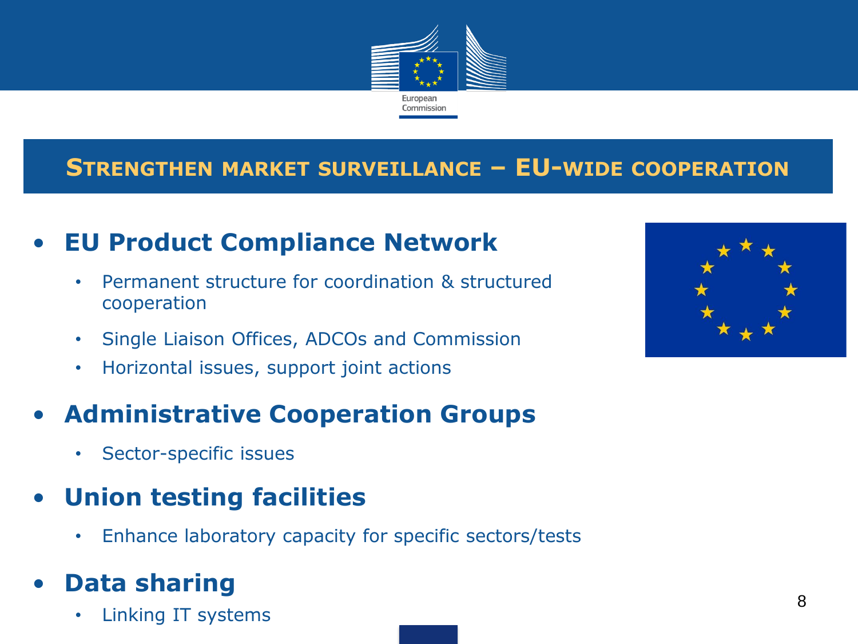

### **STRENGTHEN MARKET SURVEILLANCE – EU-WIDE COOPERATION**

## • **EU Product Compliance Network**

- Permanent structure for coordination & structured cooperation
- Single Liaison Offices, ADCOs and Commission
- Horizontal issues, support joint actions

## • **Administrative Cooperation Groups**

- Sector-specific issues
- **Union testing facilities**
	- Enhance laboratory capacity for specific sectors/tests

## • **Data sharing**

• Linking IT systems

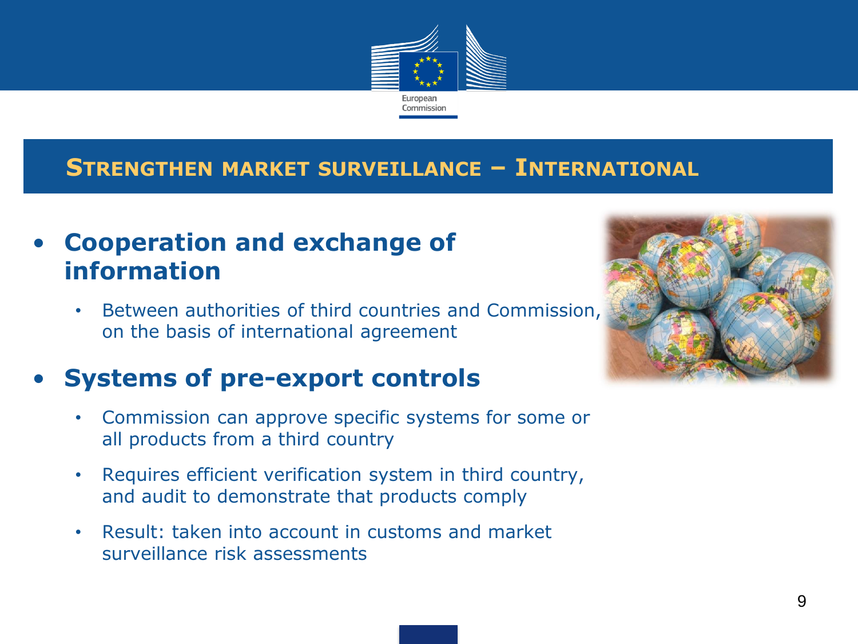

#### **STRENGTHEN MARKET SURVEILLANCE – INTERNATIONAL**

### • **Cooperation and exchange of information**

Between authorities of third countries and Commission, on the basis of international agreement

## • **Systems of pre-export controls**

- Commission can approve specific systems for some or all products from a third country
- Requires efficient verification system in third country, and audit to demonstrate that products comply
- Result: taken into account in customs and market surveillance risk assessments

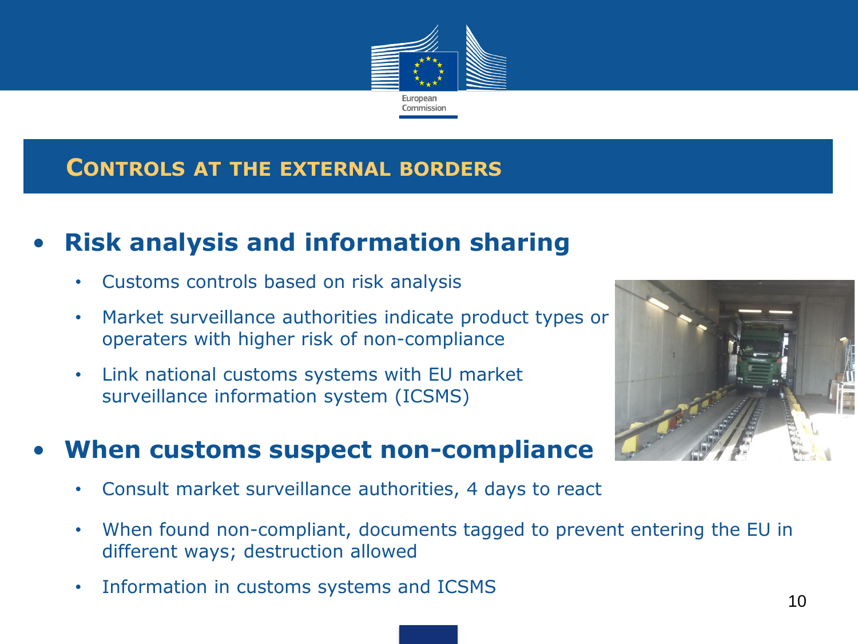

#### **CONTROLS AT THE EXTERNAL BORDERS**

## • **Risk analysis and information sharing**

- Customs controls based on risk analysis
- Market surveillance authorities indicate product types or operaters with higher risk of non-compliance
- Link national customs systems with EU market surveillance information system (ICSMS)



#### • **When customs suspect non-compliance**

- Consult market surveillance authorities, 4 days to react
- When found non-compliant, documents tagged to prevent entering the EU in different ways; destruction allowed
- Information in customs systems and ICSMS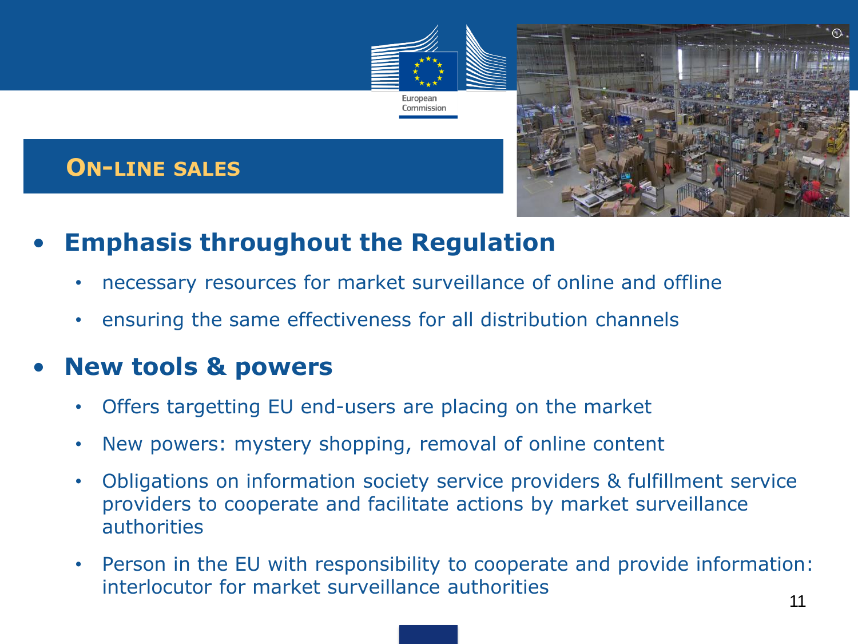

### **ON-LINE SALES**



- **Emphasis throughout the Regulation**
	- necessary resources for market surveillance of online and offline
	- ensuring the same effectiveness for all distribution channels

### • **New tools & powers**

- Offers targetting EU end-users are placing on the market
- New powers: mystery shopping, removal of online content
- Obligations on information society service providers & fulfillment service providers to cooperate and facilitate actions by market surveillance authorities
- Person in the EU with responsibility to cooperate and provide information: interlocutor for market surveillance authorities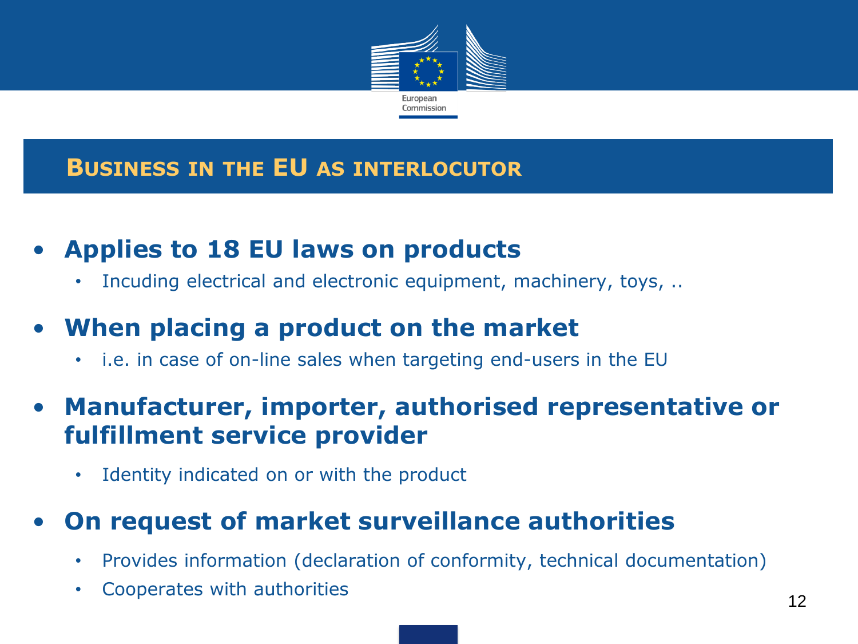

### **BUSINESS IN THE EU AS INTERLOCUTOR**

## • **Applies to 18 EU laws on products**

Incuding electrical and electronic equipment, machinery, toys, ...

## • **When placing a product on the market**

• i.e. in case of on-line sales when targeting end-users in the EU

## • **Manufacturer, importer, authorised representative or fulfillment service provider**

Identity indicated on or with the product

## • **On request of market surveillance authorities**

- Provides information (declaration of conformity, technical documentation)
- Cooperates with authorities 12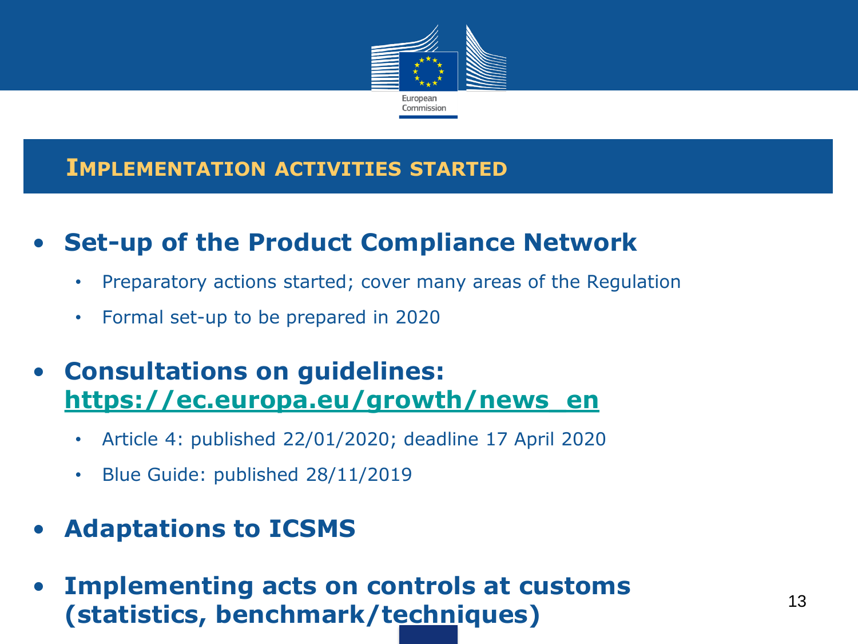

#### **IMPLEMENTATION ACTIVITIES STARTED**

- **Set-up of the Product Compliance Network**
	- Preparatory actions started; cover many areas of the Regulation
	- Formal set-up to be prepared in 2020
- **Consultations on guidelines: [https://ec.europa.eu/growth/news\\_en](https://ec.europa.eu/growth/news_en)**
	- Article 4: published 22/01/2020; deadline 17 April 2020
	- Blue Guide: published 28/11/2019
- **Adaptations to ICSMS**
- **Implementing acts on controls at customs (statistics, benchmark/techniques)** <sup>13</sup>